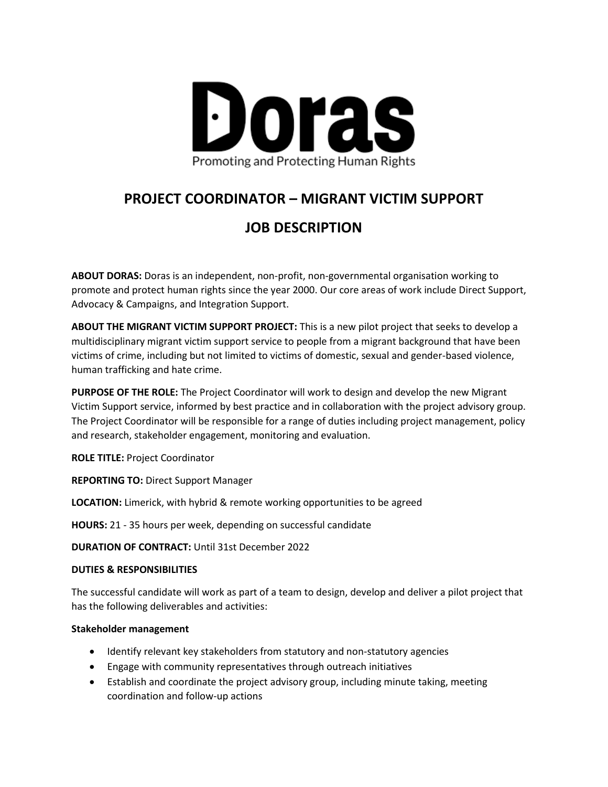

# **PROJECT COORDINATOR – MIGRANT VICTIM SUPPORT**

# **JOB DESCRIPTION**

**ABOUT DORAS:** Doras is an independent, non-profit, non-governmental organisation working to promote and protect human rights since the year 2000. Our core areas of work include Direct Support, Advocacy & Campaigns, and Integration Support.

**ABOUT THE MIGRANT VICTIM SUPPORT PROJECT:** This is a new pilot project that seeks to develop a multidisciplinary migrant victim support service to people from a migrant background that have been victims of crime, including but not limited to victims of domestic, sexual and gender-based violence, human trafficking and hate crime.

**PURPOSE OF THE ROLE:** The Project Coordinator will work to design and develop the new Migrant Victim Support service, informed by best practice and in collaboration with the project advisory group. The Project Coordinator will be responsible for a range of duties including project management, policy and research, stakeholder engagement, monitoring and evaluation.

**ROLE TITLE:** Project Coordinator

**REPORTING TO:** Direct Support Manager

**LOCATION:** Limerick, with hybrid & remote working opportunities to be agreed

**HOURS:** 21 - 35 hours per week, depending on successful candidate

**DURATION OF CONTRACT:** Until 31st December 2022

#### **DUTIES & RESPONSIBILITIES**

The successful candidate will work as part of a team to design, develop and deliver a pilot project that has the following deliverables and activities:

#### **Stakeholder management**

- Identify relevant key stakeholders from statutory and non-statutory agencies
- Engage with community representatives through outreach initiatives
- Establish and coordinate the project advisory group, including minute taking, meeting coordination and follow-up actions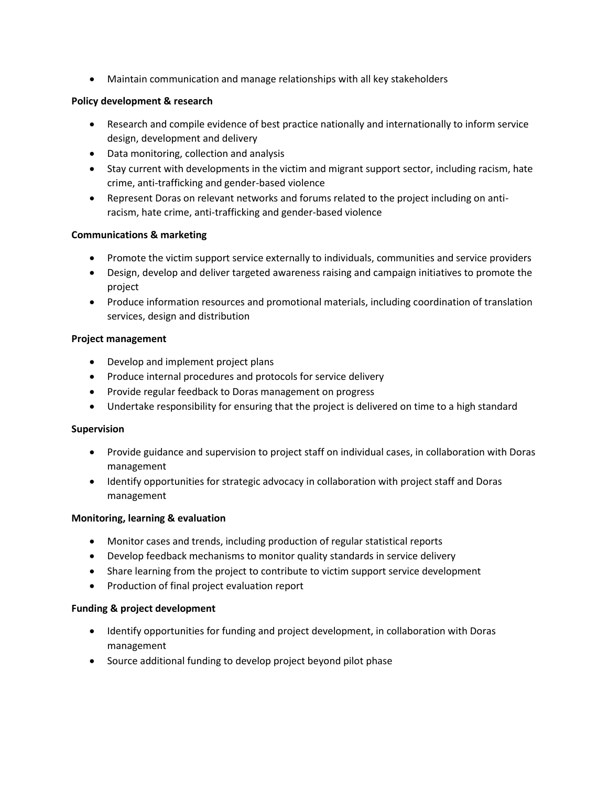• Maintain communication and manage relationships with all key stakeholders

### **Policy development & research**

- Research and compile evidence of best practice nationally and internationally to inform service design, development and delivery
- Data monitoring, collection and analysis
- Stay current with developments in the victim and migrant support sector, including racism, hate crime, anti-trafficking and gender-based violence
- Represent Doras on relevant networks and forums related to the project including on antiracism, hate crime, anti-trafficking and gender-based violence

### **Communications & marketing**

- Promote the victim support service externally to individuals, communities and service providers
- Design, develop and deliver targeted awareness raising and campaign initiatives to promote the project
- Produce information resources and promotional materials, including coordination of translation services, design and distribution

### **Project management**

- Develop and implement project plans
- Produce internal procedures and protocols for service delivery
- Provide regular feedback to Doras management on progress
- Undertake responsibility for ensuring that the project is delivered on time to a high standard

#### **Supervision**

- Provide guidance and supervision to project staff on individual cases, in collaboration with Doras management
- Identify opportunities for strategic advocacy in collaboration with project staff and Doras management

#### **Monitoring, learning & evaluation**

- Monitor cases and trends, including production of regular statistical reports
- Develop feedback mechanisms to monitor quality standards in service delivery
- Share learning from the project to contribute to victim support service development
- Production of final project evaluation report

#### **Funding & project development**

- Identify opportunities for funding and project development, in collaboration with Doras management
- Source additional funding to develop project beyond pilot phase